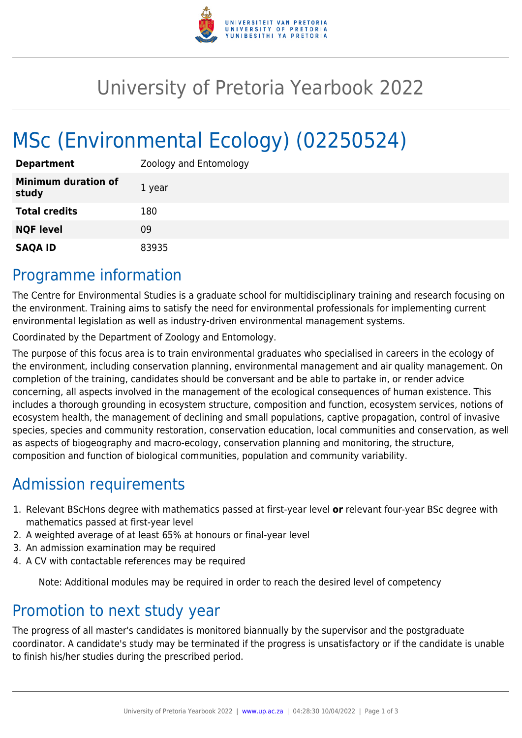

## University of Pretoria Yearbook 2022

# MSc (Environmental Ecology) (02250524)

| <b>Department</b>                   | Zoology and Entomology |
|-------------------------------------|------------------------|
| <b>Minimum duration of</b><br>study | 1 year                 |
| <b>Total credits</b>                | 180                    |
| <b>NQF level</b>                    | 09                     |
| <b>SAQA ID</b>                      | 83935                  |

#### Programme information

The Centre for Environmental Studies is a graduate school for multidisciplinary training and research focusing on the environment. Training aims to satisfy the need for environmental professionals for implementing current environmental legislation as well as industry-driven environmental management systems.

Coordinated by the Department of Zoology and Entomology.

The purpose of this focus area is to train environmental graduates who specialised in careers in the ecology of the environment, including conservation planning, environmental management and air quality management. On completion of the training, candidates should be conversant and be able to partake in, or render advice concerning, all aspects involved in the management of the ecological consequences of human existence. This includes a thorough grounding in ecosystem structure, composition and function, ecosystem services, notions of ecosystem health, the management of declining and small populations, captive propagation, control of invasive species, species and community restoration, conservation education, local communities and conservation, as well as aspects of biogeography and macro-ecology, conservation planning and monitoring, the structure, composition and function of biological communities, population and community variability.

### Admission requirements

- 1. Relevant BScHons degree with mathematics passed at first-year level **or** relevant four-year BSc degree with mathematics passed at first-year level
- 2. A weighted average of at least 65% at honours or final-year level
- 3. An admission examination may be required
- 4. A CV with contactable references may be required

Note: Additional modules may be required in order to reach the desired level of competency

#### Promotion to next study year

The progress of all master's candidates is monitored biannually by the supervisor and the postgraduate coordinator. A candidate's study may be terminated if the progress is unsatisfactory or if the candidate is unable to finish his/her studies during the prescribed period.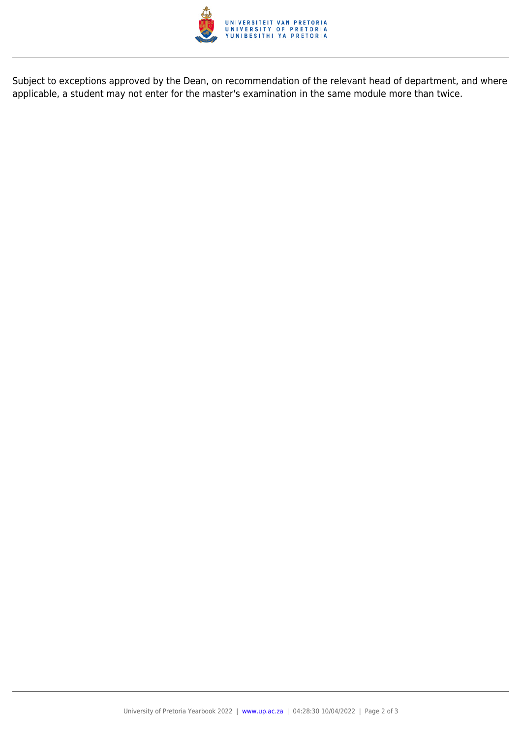

Subject to exceptions approved by the Dean, on recommendation of the relevant head of department, and where applicable, a student may not enter for the master's examination in the same module more than twice.